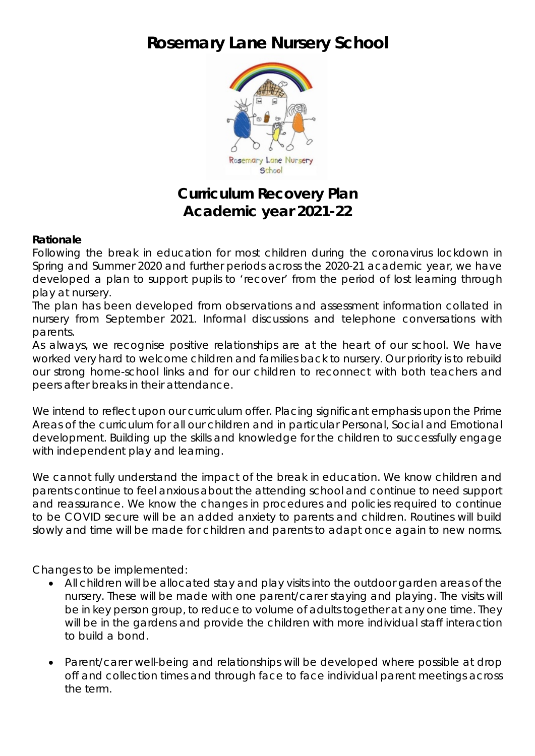## **Rosemary Lane Nursery School**



## **Curriculum Recovery Plan Academic year 2021-22**

## **Rationale**

Following the break in education for most children during the coronavirus lockdown in Spring and Summer 2020 and further periods across the 2020-21 academic year, we have developed a plan to support pupils to 'recover' from the period of lost learning through play at nursery.

The plan has been developed from observations and assessment information collated in nursery from September 2021. Informal discussions and telephone conversations with parents.

As always, we recognise positive relationships are at the heart of our school. We have worked very hard to welcome children and families back to nursery. Our priority is to rebuild our strong home-school links and for our children to reconnect with both teachers and peers after breaks in their attendance.

We intend to reflect upon our curriculum offer. Placing significant emphasis upon the Prime Areas of the curriculum for all our children and in particular Personal, Social and Emotional development. Building up the skills and knowledge for the children to successfully engage with independent play and learning.

We cannot fully understand the impact of the break in education. We know children and parents continue to feel anxious about the attending school and continue to need support and reassurance. We know the changes in procedures and policies required to continue to be COVID secure will be an added anxiety to parents and children. Routines will build slowly and time will be made for children and parents to adapt once again to new norms.

Changes to be implemented:

- All children will be allocated stay and play visits into the outdoor garden areas of the nursery. These will be made with one parent/carer staying and playing. The visits will be in key person group, to reduce to volume of adults together at any one time. They will be in the gardens and provide the children with more individual staff interaction to build a bond.
- Parent/carer well-being and relationships will be developed where possible at drop off and collection times and through face to face individual parent meetings across the term.